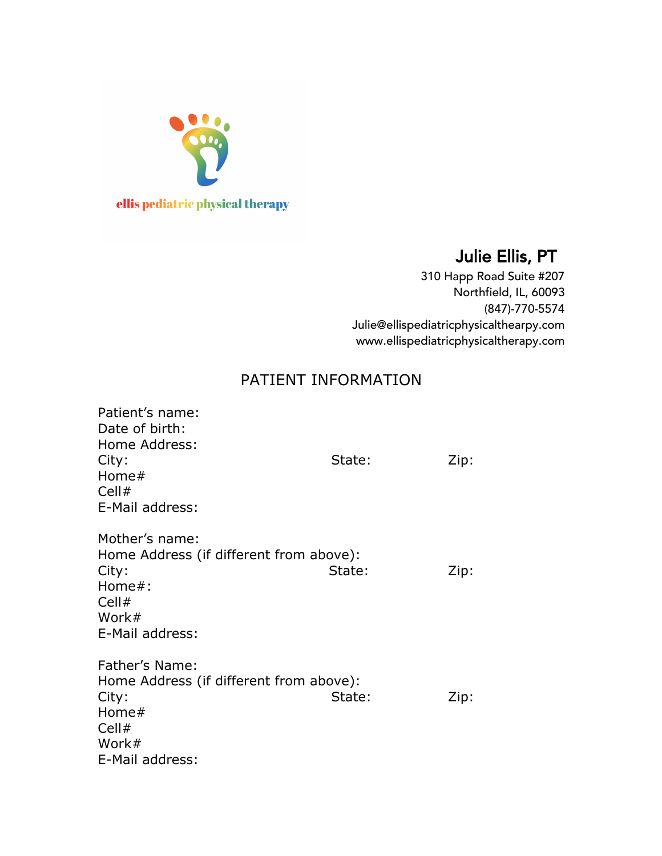

# Julie Ellis, PT

310 Happ Road Suite #207 Northfield, IL, 60093 (847)-770-5574 Julie@ellispediatricphysicalthearpy.com www.ellispediatricphysicaltherapy.com

## PATIENT INFORMATION

| Patient's name:<br>Date of birth:<br>Home Address:<br>City:<br>Home $#$<br>Cell#<br>E-Mail address:                   | State: | Zip: |
|-----------------------------------------------------------------------------------------------------------------------|--------|------|
| Mother's name:<br>Home Address (if different from above):<br>City:<br>Home $#$ :<br>Cell#<br>Work#<br>E-Mail address: | State: | Zip: |
| Father's Name:<br>Home Address (if different from above):<br>City:<br>Home#<br>Cell#<br>Work#<br>E-Mail address:      | State: | Zip: |